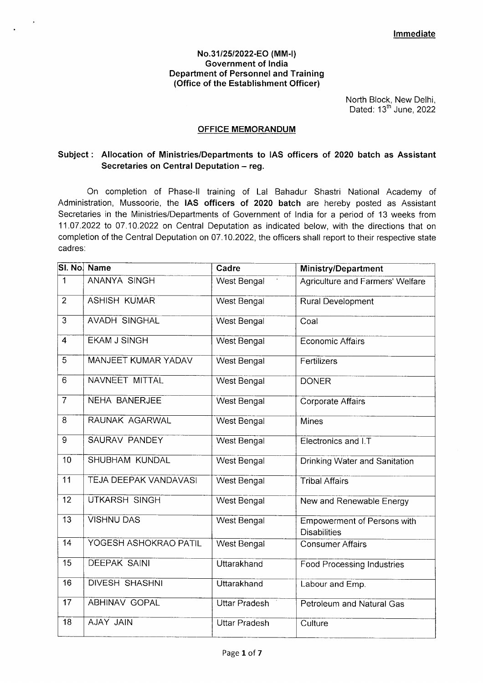#### **No.31/25/2022-EQ (MM-I) Government of India Department of Personnel and Training (Office of the Establishment Officer)**

North Block, New Delhi, Dated: 13<sup>th</sup> June, 2022

#### **OFFICE MEMORANDUM**

# **Subject: Allocation of Ministries/Departments to lAS officers of 2020 batch as Assistant Secretaries on Central Deputation — reg.**

On completion of Phase-Il training of Lal Bahadur Shastri National Academy of Administration, Mussoorie, the **lAS officers of 2020 batch** are hereby posted as Assistant Secretaries in the Ministries/Departments of Government of India for a period of 13 weeks from 11.07.2022 to 07.10.2022 on Central Deputation as indicated below, with the directions that on completion of the Central Deputation on 07.10.2022, the officers shall report to their respective state cadres:

|                         | SI. No. Name                 | Cadre                | <b>Ministry/Department</b>                                |
|-------------------------|------------------------------|----------------------|-----------------------------------------------------------|
| $\mathbf{1}$            | <b>ANANYA SINGH</b>          | West Bengal          | Agriculture and Farmers' Welfare                          |
| $\overline{2}$          | <b>ASHISH KUMAR</b>          | West Bengal          | <b>Rural Development</b>                                  |
| $\overline{3}$          | <b>AVADH SINGHAL</b>         | West Bengal          | Coal                                                      |
| $\overline{\mathbf{4}}$ | <b>EKAM J SINGH</b>          | <b>West Bengal</b>   | <b>Economic Affairs</b>                                   |
| 5                       | <b>MANJEET KUMAR YADAV</b>   | <b>West Bengal</b>   | Fertilizers                                               |
| 6                       | NAVNEET MITTAL               | West Bengal          | <b>DONER</b>                                              |
| $\overline{7}$          | <b>NEHA BANERJEE</b>         | West Bengal          | Corporate Affairs                                         |
| 8                       | RAUNAK AGARWAL               | <b>West Bengal</b>   | <b>Mines</b>                                              |
| 9                       | SAURAV PANDEY                | West Bengal          | Electronics and I.T                                       |
| 10                      | <b>SHUBHAM KUNDAL</b>        | West Bengal          | Drinking Water and Sanitation                             |
| 11                      | <b>TEJA DEEPAK VANDAVASI</b> | West Bengal          | <b>Tribal Affairs</b>                                     |
| 12                      | UTKARSH SINGH                | West Bengal          | New and Renewable Energy                                  |
| $\overline{13}$         | <b>VISHNU DAS</b>            | West Bengal          | <b>Empowerment of Persons with</b><br><b>Disabilities</b> |
| 14                      | YOGESH ASHOKRAO PATIL        | West Bengal          | <b>Consumer Affairs</b>                                   |
| 15                      | <b>DEEPAK SAINI</b>          | Uttarakhand          | <b>Food Processing Industries</b>                         |
| 16                      | <b>DIVESH SHASHNI</b>        | Uttarakhand          | Labour and Emp.                                           |
| 17                      | <b>ABHINAV GOPAL</b>         | <b>Uttar Pradesh</b> | Petroleum and Natural Gas                                 |
| $\overline{18}$         | <b>AJAY JAIN</b>             | <b>Uttar Pradesh</b> | Culture                                                   |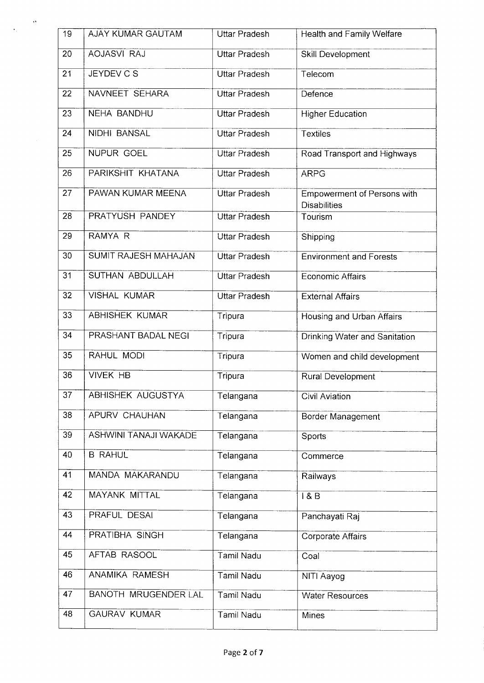| 19              | <b>AJAY KUMAR GAUTAM</b>     | <b>Uttar Pradesh</b> | Health and Family Welfare                                 |
|-----------------|------------------------------|----------------------|-----------------------------------------------------------|
| 20              | <b>AOJASVI RAJ</b>           | <b>Uttar Pradesh</b> | Skill Development                                         |
| 21              | <b>JEYDEV C S</b>            | <b>Uttar Pradesh</b> | Telecom                                                   |
| 22              | NAVNEET SEHARA               | <b>Uttar Pradesh</b> | Defence                                                   |
| 23              | <b>NEHA BANDHU</b>           | <b>Uttar Pradesh</b> | <b>Higher Education</b>                                   |
| 24              | <b>NIDHI BANSAL</b>          | <b>Uttar Pradesh</b> | <b>Textiles</b>                                           |
| 25              | NUPUR GOEL                   | <b>Uttar Pradesh</b> | Road Transport and Highways                               |
| 26              | PARIKSHIT KHATANA            | <b>Uttar Pradesh</b> | <b>ARPG</b>                                               |
| 27              | PAWAN KUMAR MEENA            | <b>Uttar Pradesh</b> | <b>Empowerment of Persons with</b><br><b>Disabilities</b> |
| 28              | <b>PRATYUSH PANDEY</b>       | <b>Uttar Pradesh</b> | Tourism                                                   |
| 29              | RAMYA R                      | <b>Uttar Pradesh</b> | Shipping                                                  |
| $\overline{30}$ | <b>SUMIT RAJESH MAHAJAN</b>  | <b>Uttar Pradesh</b> | <b>Environment and Forests</b>                            |
| 31              | SUTHAN ABDULLAH              | <b>Uttar Pradesh</b> | <b>Economic Affairs</b>                                   |
| $\overline{32}$ | <b>VISHAL KUMAR</b>          | <b>Uttar Pradesh</b> | <b>External Affairs</b>                                   |
| 33              | <b>ABHISHEK KUMAR</b>        | Tripura              | <b>Housing and Urban Affairs</b>                          |
| 34              | PRASHANT BADAL NEGI          | Tripura              | <b>Drinking Water and Sanitation</b>                      |
| 35              | RAHUL MODI                   | Tripura              | Women and child development                               |
| 36              | <b>VIVEK HB</b>              | Tripura              | Rural Development                                         |
| $\overline{37}$ | <b>ABHISHEK AUGUSTYA</b>     | Telangana            | Civil Aviation                                            |
| 38              | APURV CHAUHAN                | Telangana            | Border Management                                         |
| 39              | <b>ASHWINI TANAJI WAKADE</b> | Telangana            | Sports                                                    |
| 40              | <b>B RAHUL</b>               | Telangana            | Commerce                                                  |
| 41              | MANDA MAKARANDU              | Telangana            | Railways                                                  |
| 42              | <b>MAYANK MITTAL</b>         | Telangana            | 18B                                                       |
| 43              | PRAFUL DESAI                 | Telangana            | Panchayati Raj                                            |
| 44              | PRATIBHA SINGH               | Telangana            | Corporate Affairs                                         |
| 45              | AFTAB RASOOL                 | Tamil Nadu           | Coal                                                      |
| 46              | ANAMIKA RAMESH               | <b>Tamil Nadu</b>    | NITI Aayog                                                |
| 47              | <b>BANOTH MRUGENDER LAL</b>  | Tamil Nadu           | <b>Water Resources</b>                                    |
| 48              | <b>GAURAV KUMAR</b>          | Tamil Nadu           | <b>Mines</b>                                              |

 $\frac{1}{\sqrt{2}}\left( \frac{1}{\sqrt{2}}\right) \frac{d\theta}{2}$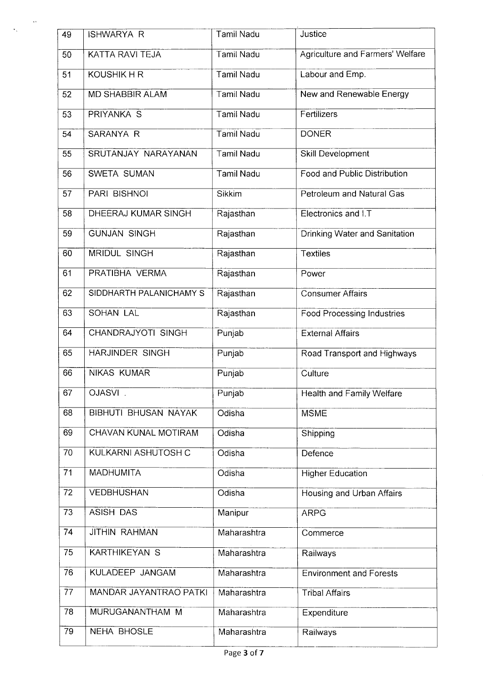| 49 | <b>ISHWARYA R</b>             | Tamil Nadu        | Justice                           |
|----|-------------------------------|-------------------|-----------------------------------|
| 50 | <b>KATTA RAVI TEJA</b>        | <b>Tamil Nadu</b> | Agriculture and Farmers' Welfare  |
| 51 | <b>KOUSHIK H R</b>            | <b>Tamil Nadu</b> | Labour and Emp.                   |
| 52 | <b>MD SHABBIR ALAM</b>        | <b>Tamil Nadu</b> | New and Renewable Energy          |
| 53 | <b>PRIYANKA S</b>             | <b>Tamil Nadu</b> | Fertilizers                       |
| 54 | <b>SARANYA R</b>              | <b>Tamil Nadu</b> | <b>DONER</b>                      |
| 55 | SRUTANJAY NARAYANAN           | <b>Tamil Nadu</b> | Skill Development                 |
| 56 | SWETA SUMAN                   | Tamil Nadu        | Food and Public Distribution      |
| 57 | <b>PARI BISHNOI</b>           | Sikkim            | Petroleum and Natural Gas         |
| 58 | DHEERAJ KUMAR SINGH           | Rajasthan         | Electronics and I.T               |
| 59 | <b>GUNJAN SINGH</b>           | Rajasthan         | Drinking Water and Sanitation     |
| 60 | <b>MRIDUL SINGH</b>           | Rajasthan         | <b>Textiles</b>                   |
| 61 | PRATIBHA VERMA                | Rajasthan         | Power                             |
| 62 | SIDDHARTH PALANICHAMY S       | Rajasthan         | <b>Consumer Affairs</b>           |
| 63 | <b>SOHAN LAL</b>              | Rajasthan         | <b>Food Processing Industries</b> |
| 64 | CHANDRAJYOTI SINGH            | Punjab            | <b>External Affairs</b>           |
| 65 | <b>HARJINDER SINGH</b>        | Punjab            | Road Transport and Highways       |
| 66 | <b>NIKAS KUMAR</b>            | Punjab            | Culture                           |
| 67 | OJASVI.                       | Punjab            | Health and Family Welfare         |
| 68 | <b>BIBHUTI BHUSAN NAYAK</b>   | Odisha            | <b>MSME</b>                       |
| 69 | CHAVAN KUNAL MOTIRAM          | Odisha            | Shipping                          |
| 70 | KULKARNI ASHUTOSH C           | Odisha            | Defence                           |
| 71 | <b>MADHUMITA</b>              | Odisha            | <b>Higher Education</b>           |
| 72 | <b>VEDBHUSHAN</b>             | Odisha            | Housing and Urban Affairs         |
| 73 | <b>ASISH DAS</b>              | Manipur           | <b>ARPG</b>                       |
| 74 | <b>JITHIN RAHMAN</b>          | Maharashtra       | Commerce                          |
| 75 | KARTHIKEYAN S                 | Maharashtra       | Railways                          |
| 76 | KULADEEP JANGAM               | Maharashtra       | <b>Environment and Forests</b>    |
| 77 | <b>MANDAR JAYANTRAO PATKI</b> | Maharashtra       | <b>Tribal Affairs</b>             |
| 78 | MURUGANANTHAM M               | Maharashtra       | Expenditure                       |
| 79 | <b>NEHA BHOSLE</b>            | Maharashtra       | Railways                          |

 $\sim$ 

 $\langle \star \rangle$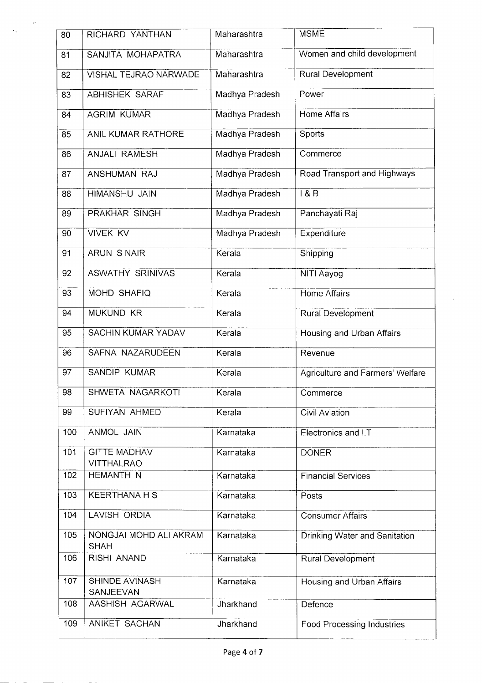| 80  | RICHARD YANTHAN                          | Maharashtra    | <b>MSME</b>                       |
|-----|------------------------------------------|----------------|-----------------------------------|
| 81  | SANJITA MOHAPATRA                        | Maharashtra    | Women and child development       |
| 82  | VISHAL TEJRAO NARWADE                    | Maharashtra    | <b>Rural Development</b>          |
| 83  | ABHISHEK SARAF                           | Madhya Pradesh | Power                             |
| 84  | <b>AGRIM KUMAR</b>                       | Madhya Pradesh | Home Affairs                      |
| 85  | ANIL KUMAR RATHORE                       | Madhya Pradesh | Sports                            |
| 86  | <b>ANJALI RAMESH</b>                     | Madhya Pradesh | Commerce                          |
| 87  | ANSHUMAN RAJ                             | Madhya Pradesh | Road Transport and Highways       |
| 88  | HIMANSHU JAIN                            | Madhya Pradesh | 1&8&B                             |
| 89  | <b>PRAKHAR SINGH</b>                     | Madhya Pradesh | Panchayati Raj                    |
| 90  | <b>VIVEK KV</b>                          | Madhya Pradesh | Expenditure                       |
| 91  | <b>ARUN S NAIR</b>                       | Kerala         | Shipping                          |
| 92  | <b>ASWATHY SRINIVAS</b>                  | Kerala         | NITI Aayog                        |
| 93  | MOHD SHAFIQ                              | Kerala         | <b>Home Affairs</b>               |
| 94  | <b>MUKUND KR</b>                         | Kerala         | Rural Development                 |
| 95  | SACHIN KUMAR YADAV                       | Kerala         | Housing and Urban Affairs         |
| 96  | SAFNA NAZARUDEEN                         | Kerala         | Revenue                           |
| 97  | <b>SANDIP KUMAR</b>                      | Kerala         | Agriculture and Farmers' Welfare  |
| 98  | SHWETA NAGARKOTI                         | Kerala         | Commerce                          |
| 99  | SUFIYAN AHMED                            | Kerala         | Civil Aviation                    |
| 100 | ANMOL JAIN                               | Karnataka      | Electronics and I.T               |
| 101 | <b>GITTE MADHAV</b><br><b>VITTHALRAO</b> | Karnataka      | <b>DONER</b>                      |
| 102 | HEMANTH N                                | Karnataka      | <b>Financial Services</b>         |
| 103 | <b>KEERTHANA H S</b>                     | Karnataka      | Posts                             |
| 104 | LAVISH ORDIA                             | Karnataka      | <b>Consumer Affairs</b>           |
| 105 | NONGJAI MOHD ALI AKRAM<br><b>SHAH</b>    | Karnataka      | Drinking Water and Sanitation     |
| 106 | RISHI ANAND                              | Karnataka      | Rural Development                 |
| 107 | <b>SHINDE AVINASH</b><br>SANJEEVAN       | Karnataka      | Housing and Urban Affairs         |
| 108 | AASHISH AGARWAL                          | Jharkhand      | Defence                           |
| 109 | ANIKET SACHAN                            | Jharkhand      | <b>Food Processing Industries</b> |

 $\bar{c}$ 

 $\sim$ 

 $\ddot{\ddot{\ }}$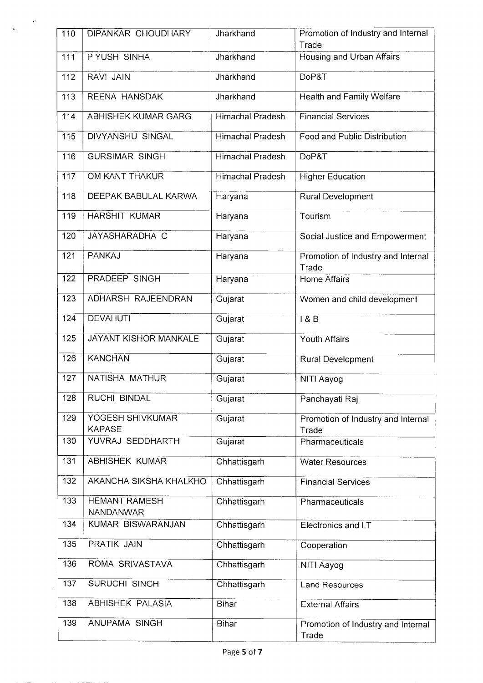| 110              | DIPANKAR CHOUDHARY                | Jharkhand               | Promotion of Industry and Internal<br>Trade |
|------------------|-----------------------------------|-------------------------|---------------------------------------------|
| 111              | PIYUSH SINHA                      | Jharkhand               | Housing and Urban Affairs                   |
| 112              | RAVI JAIN                         | Jharkhand               | DoP&T                                       |
| 113              | REENA HANSDAK                     | Jharkhand               | <b>Health and Family Welfare</b>            |
| 114              | ABHISHEK KUMAR GARG               | Himachal Pradesh        | <b>Financial Services</b>                   |
| 115              | <b>DIVYANSHU SINGAL</b>           | <b>Himachal Pradesh</b> | Food and Public Distribution                |
| 116              | <b>GURSIMAR SINGH</b>             | <b>Himachal Pradesh</b> | DoP&T                                       |
| 117              | OM KANT THAKUR                    | Himachal Pradesh        | <b>Higher Education</b>                     |
| 118              | DEEPAK BABULAL KARWA              | Haryana                 | <b>Rural Development</b>                    |
| 119              | <b>HARSHIT KUMAR</b>              | Haryana                 | Tourism                                     |
| 120              | JAYASHARADHA C                    | Haryana                 | Social Justice and Empowerment              |
| 121              | <b>PANKAJ</b>                     | Haryana                 | Promotion of Industry and Internal<br>Trade |
| 122              | PRADEEP SINGH                     | Haryana                 | Home Affairs                                |
| 123              | ADHARSH RAJEENDRAN                | Gujarat                 | Women and child development                 |
| 124              | <b>DEVAHUTI</b>                   | Gujarat                 | 18B                                         |
| $\overline{125}$ | JAYANT KISHOR MANKALE             | Gujarat                 | Youth Affairs                               |
| 126              | <b>KANCHAN</b>                    | Gujarat                 | Rural Development                           |
| 127              | NATISHA MATHUR                    | Gujarat                 | NITI Aayog                                  |
| 128              | <b>RUCHI BINDAL</b>               | Gujarat                 | Panchayati Raj                              |
| 129              | YOGESH SHIVKUMAR<br><b>KAPASE</b> | Gujarat                 | Promotion of Industry and Internal<br>Trade |
| 130              | YUVRAJ SEDDHARTH                  | Gujarat                 | Pharmaceuticals                             |
| 131              | ABHISHEK KUMAR                    | Chhattisgarh            | <b>Water Resources</b>                      |
| 132              | AKANCHA SIKSHA KHALKHO            | Chhattisgarh            | <b>Financial Services</b>                   |
| 133              | <b>HEMANT RAMESH</b><br>NANDANWAR | Chhattisgarh            | Pharmaceuticals                             |
| 134              | KUMAR BISWARANJAN                 | Chhattisgarh            | Electronics and I.T                         |
| 135              | PRATIK JAIN                       | Chhattisgarh            | Cooperation                                 |
| 136              | ROMA SRIVASTAVA                   | Chhattisgarh            | NITI Aayog                                  |
| 137              | SURUCHI SINGH                     | Chhattisgarh            | <b>Land Resources</b>                       |
| 138              | <b>ABHISHEK PALASIA</b>           | <b>Bihar</b>            | <b>External Affairs</b>                     |
| 139              | ANUPAMA SINGH                     | <b>Bihar</b>            | Promotion of Industry and Internal<br>Trade |

 $\label{eq:1} \frac{1}{\sqrt{2\pi}}\int_0^1\frac{dx}{\sqrt{2\pi}}\,dx$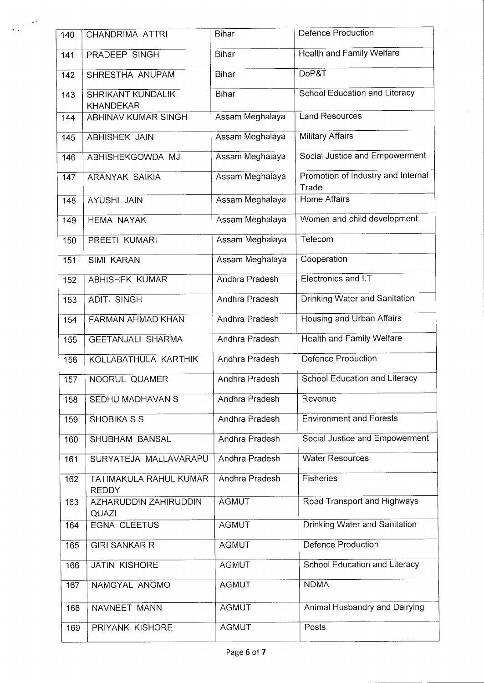| 140 | CHANDRIMA ATTRI                              | Bihar           | Defence Production                          |
|-----|----------------------------------------------|-----------------|---------------------------------------------|
| 141 | PRADEEP SINGH                                | Bihar           | <b>Health and Family Welfare</b>            |
| 142 | SHRESTHA ANUPAM                              | Bihar           | DoP&T                                       |
| 143 | <b>SHRIKANT KUNDALIK</b><br><b>KHANDEKAR</b> | Bihar           | <b>School Education and Literacy</b>        |
| 144 | <b>ABHINAV KUMAR SINGH</b>                   | Assam Meghalaya | <b>Land Resources</b>                       |
| 145 | <b>ABHISHEK JAIN</b>                         | Assam Meghalaya | Military Affairs                            |
| 146 | ABHISHEKGOWDA MJ                             | Assam Meghalaya | Social Justice and Empowerment              |
| 147 | ARANYAK SAIKIA                               | Assam Meghalaya | Promotion of Industry and Internal<br>Trade |
| 148 | <b>AYUSHI JAIN</b>                           | Assam Meghalaya | <b>Home Affairs</b>                         |
| 149 | <b>HEMA NAYAK</b>                            | Assam Meghalaya | Women and child development                 |
| 150 | PREETI KUMARI                                | Assam Meghalaya | Telecom                                     |
| 151 | <b>SIMI KARAN</b>                            | Assam Meghalaya | Cooperation                                 |
| 152 | <b>ABHISHEK KUMAR</b>                        | Andhra Pradesh  | Electronics and I.T                         |
| 153 | <b>ADITI SINGH</b>                           | Andhra Pradesh  | Drinking Water and Sanitation               |
| 154 | <b>FARMAN AHMAD KHAN</b>                     | Andhra Pradesh  | Housing and Urban Affairs                   |
| 155 | <b>GEETANJALI SHARMA</b>                     | Andhra Pradesh  | <b>Health and Family Welfare</b>            |
| 156 | KOLLABATHULA KARTHIK                         | Andhra Pradesh  | Defence Production                          |
| 157 | NOORUL QUAMER                                | Andhra Pradesh  | School Education and Literacy               |
| 158 | SEDHU MADHAVAN S                             | Andhra Pradesh  | Revenue                                     |
| 159 | SHOBIKA S S                                  | Andhra Pradesh  | <b>Environment and Forests</b>              |
| 160 | SHUBHAM BANSAL                               | Andhra Pradesh  | Social Justice and Empowerment              |
| 161 | SURYATEJA MALLAVARAPU                        | Andhra Pradesh  | <b>Water Resources</b>                      |
| 162 | TATIMAKULA RAHUL KUMAR<br><b>REDDY</b>       | Andhra Pradesh  | Fisheries                                   |
| 163 | AZHARUDDIN ZAHIRUDDIN<br><b>QUAZI</b>        | <b>AGMUT</b>    | Road Transport and Highways                 |
| 164 | <b>EGNA CLEETUS</b>                          | <b>AGMUT</b>    | Drinking Water and Sanitation               |
| 165 | <b>GIRI SANKAR R</b>                         | <b>AGMUT</b>    | <b>Defence Production</b>                   |
| 166 | JATIN KISHORE                                | <b>AGMUT</b>    | School Education and Literacy               |
| 167 | NAMGYAL ANGMO                                | <b>AGMUT</b>    | <b>NDMA</b>                                 |
| 168 | NAVNEET MANN                                 | <b>AGMUT</b>    | Animal Husbandry and Dairying               |
| 169 | PRIYANK KISHORE                              | <b>AGMUT</b>    | Posts                                       |

 $\overline{\phantom{a}}$ 

 $\frac{1}{2} \sum_{i=1}^{n} \frac{1}{i} \sum_{j=1}^{n} \frac{1}{j} \sum_{j=1}^{n} \frac{1}{j} \sum_{j=1}^{n} \frac{1}{j} \sum_{j=1}^{n} \frac{1}{j} \sum_{j=1}^{n} \frac{1}{j} \sum_{j=1}^{n} \frac{1}{j} \sum_{j=1}^{n} \frac{1}{j} \sum_{j=1}^{n} \frac{1}{j} \sum_{j=1}^{n} \frac{1}{j} \sum_{j=1}^{n} \frac{1}{j} \sum_{j=1}^{n} \frac{1}{j} \sum_{j=1}^{n$